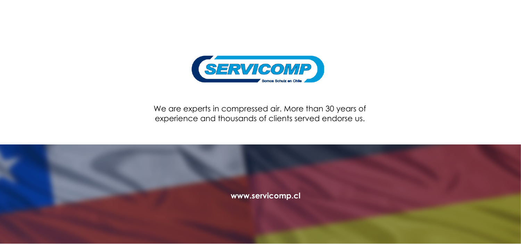

We are experts in compressed air. More than 30 years of experience and thousands of clients served endorse us.

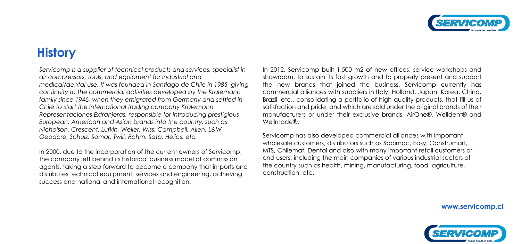## **History**

*Servicomp is a supplier of technical products and services, specialist in air compressors, tools, and equipment for industrial and medical/dental use. It was founded in Santiago de Chile in 1985, giving continuity to the commercial activities developed by the Kralemann family since 1946, when they emigrated from Germany and settled in Chile to start the international trading company Kralemann Representaciones Extranjeras, responsible for introducing prestigious European, American and Asian brands into the country, such as Nicholson, Crescent, Lufkin, Weller, Wiss, Campbell, Allen, L&W, Geodore, Schulz, Somar, Twill, Rohm, Sata, Helios, etc.*

In 2012, Servicomp built 1,500 m2 of new offices, service workshops and showroom, to sustain its fast growth and to properly present and support the new brands that joined the business. Servicomp currently has commercial alliances with suppliers in Italy, Holland, Japan, Korea, China, Brazil, etc., consolidating a portfolio of high quality products, that fill us of satisfaction and pride, and which are sold under the original brands of their manufacturers or under their exclusive brands, AirOne®, Welldent® and Wellmade®

In 2000, due to the incorporation of the current owners of Servicomp, the company left behind its historical business model of commission agents, taking a step forward to become a company that imports and distributes technical equipment, services and engineering, achieving success and national and international recognition.

Servicomp has also developed commercial alliances with important wholesale customers, distributors such as Sodimac, Easy, Construmart, MTS, Chilemat, Dental and also with many important retail customers or end users, including the main companies of various industrial sectors of the country such as health, mining, manufacturing, food, agriculture, construction, etc.



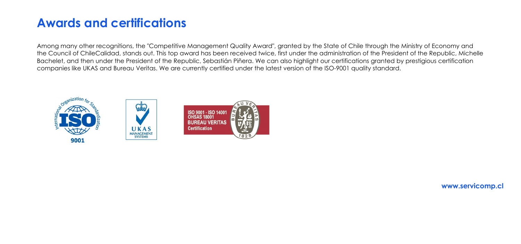# **Awards and certifications**

Among many other recognitions, the "Competitive Management Quality Award", granted by the State of Chile through the Ministry of Economy and the Council of ChileCalidad, stands out. This top award has been received twice, first under the administration of the President of the Republic, Michelle Bachelet, and then under the President of the Republic, Sebastián Piñera. We can also highlight our certifications granted by prestigious certification companies like UKAS and Bureau Veritas. We are currently certified under the latest version of the ISO-9001 quality standard.

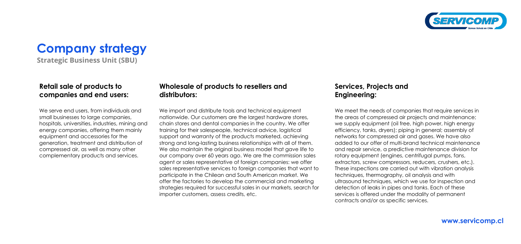**Company strategy**

**Strategic Business Unit (SBU)**

#### **Retail sale of products to companies and end users:**

We serve end users, from individuals and small businesses to large companies, hospitals, universities, industries, mining and energy companies, offering them mainly equipment and accessories for the generation, treatment and distribution of compressed air, as well as many other complementary products and services.

### **Wholesale of products to resellers and distributors:**

We import and distribute tools and technical equipment nationwide. Our customers are the largest hardware stores, chain stores and dental companies in the country. We offer training for their salespeople, technical advice, logistical support and warranty of the products marketed, achieving strong and long-lasting business relationships with all of them. We also maintain the original business model that gave life to our company over 60 years ago. We are the commission sales agent or sales representative of foreign companies: we offer sales representative services to foreign companies that want to participate in the Chilean and South American market. We offer the factories to develop the commercial and marketing strategies required for successful sales in our markets, search for importer customers, assess credits, etc.

We meet the needs of companies that require services in the areas of compressed air projects and maintenance; we supply equipment (oil free, high power, high energy efficiency, tanks, dryers); piping in general; assembly of networks for compressed air and gases. We have also added to our offer of multi-brand technical maintenance and repair service, a predictive maintenance division for rotary equipment (engines, centrifugal pumps, fans, extractors, screw compressors, reducers, crushers, etc.). These inspections are carried out with vibration analysis techniques, thermography, oil analysis and with ultrasound techniques, which we use for inspection and detection of leaks in pipes and tanks. Each of these services is offered under the modality of permanent contracts and/or as specific services.



### **Services, Projects and Engineering:**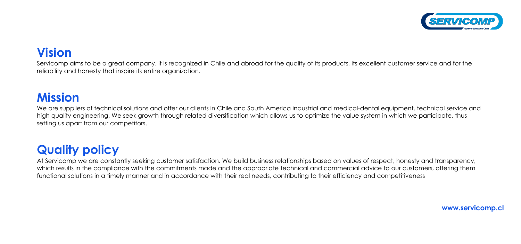# **Vision**

Servicomp aims to be a great company. It is recognized in Chile and abroad for the quality of its products, its excellent customer service and for the reliability and honesty that inspire its entire organization.

## **Mission**

We are suppliers of technical solutions and offer our clients in Chile and South America industrial and medical-dental equipment, technical service and high quality engineering. We seek growth through related diversification which allows us to optimize the value system in which we participate, thus setting us apart from our competitors.

# **Quality policy**

At Servicomp we are constantly seeking customer satisfaction. We build business relationships based on values of respect, honesty and transparency, which results in the compliance with the commitments made and the appropriate technical and commercial advice to our customers, offering them functional solutions in a timely manner and in accordance with their real needs, contributing to their efficiency and competitiveness